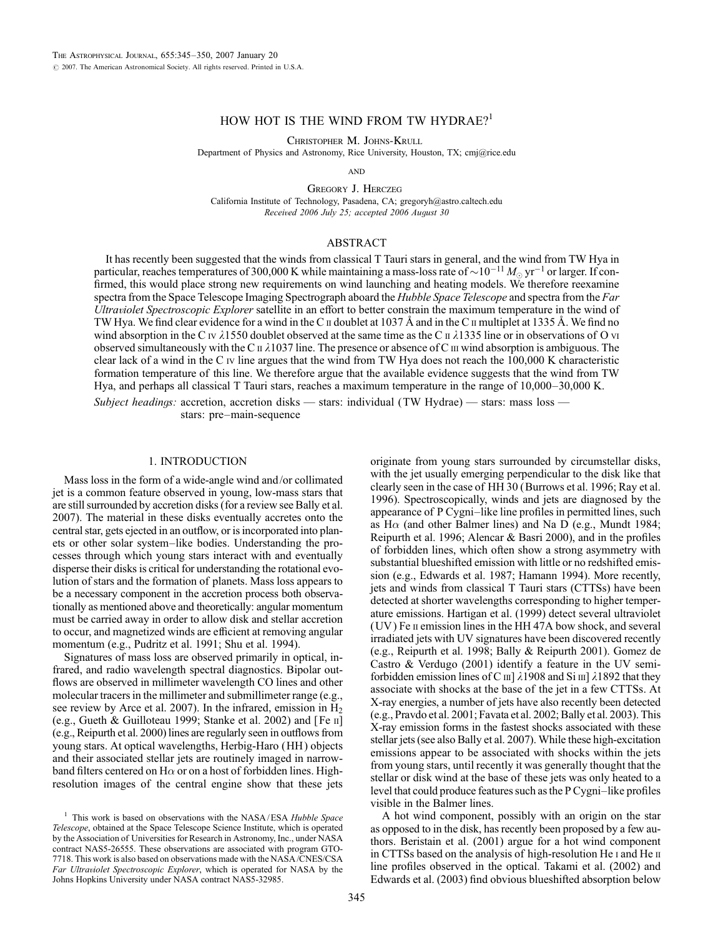# HOW HOT IS THE WIND FROM TW HYDRAE?<sup>1</sup>

Christopher M. Johns-Krull

Department of Physics and Astronomy, Rice University, Houston, TX; cmj@rice.edu

**AND** 

Gregory J. Herczeg California Institute of Technology, Pasadena, CA; gregoryh@astro.caltech.edu Received 2006 July 25; accepted 2006 August 30

## ABSTRACT

It has recently been suggested that the winds from classical T Tauri stars in general, and the wind from TW Hya in particular, reaches temperatures of 300,000 K while maintaining a mass-loss rate of  $\sim$ 10 $^{-11}$   $M_\odot$  yr $^{-1}$  or larger. If confirmed, this would place strong new requirements on wind launching and heating models. We therefore reexamine spectra from the Space Telescope Imaging Spectrograph aboard the Hubble Space Telescope and spectra from the Far Ultraviolet Spectroscopic Explorer satellite in an effort to better constrain the maximum temperature in the wind of TW Hya. We find clear evidence for a wind in the C  $\mu$  doublet at 1037 Å and in the C  $\mu$  multiplet at 1335 Å. We find no wind absorption in the C iv  $\lambda$ 1550 doublet observed at the same time as the C  $\mu$   $\lambda$ 1335 line or in observations of O vi observed simultaneously with the C  $\pi \lambda 1037$  line. The presence or absence of C  $\pi$  wind absorption is ambiguous. The clear lack of a wind in the C iv line argues that the wind from TW Hya does not reach the 100,000 K characteristic formation temperature of this line. We therefore argue that the available evidence suggests that the wind from TW Hya, and perhaps all classical T Tauri stars, reaches a maximum temperature in the range of 10,000–30,000 K.

*Subject headings:* accretion, accretion disks — stars: individual (TW Hydrae) — stars: mass loss stars: pre–main-sequence

## 1. INTRODUCTION

Mass loss in the form of a wide-angle wind and/or collimated jet is a common feature observed in young, low-mass stars that are still surrounded by accretion disks (for a review see Bally et al. 2007). The material in these disks eventually accretes onto the central star, gets ejected in an outflow, or is incorporated into planets or other solar system–like bodies. Understanding the processes through which young stars interact with and eventually disperse their disks is critical for understanding the rotational evolution of stars and the formation of planets. Mass loss appears to be a necessary component in the accretion process both observationally as mentioned above and theoretically: angular momentum must be carried away in order to allow disk and stellar accretion to occur, and magnetized winds are efficient at removing angular momentum (e.g., Pudritz et al. 1991; Shu et al. 1994).

Signatures of mass loss are observed primarily in optical, infrared, and radio wavelength spectral diagnostics. Bipolar outflows are observed in millimeter wavelength CO lines and other molecular tracers in the millimeter and submillimeter range (e.g., see review by Arce et al. 2007). In the infrared, emission in  $H_2$ (e.g., Gueth & Guilloteau 1999; Stanke et al. 2002) and [Fe ii] (e.g., Reipurth et al. 2000) lines are regularly seen in outflows from young stars. At optical wavelengths, Herbig-Haro (HH ) objects and their associated stellar jets are routinely imaged in narrowband filters centered on H $\alpha$  or on a host of forbidden lines. Highresolution images of the central engine show that these jets

originate from young stars surrounded by circumstellar disks, with the jet usually emerging perpendicular to the disk like that clearly seen in the case of HH 30 (Burrows et al. 1996; Ray et al. 1996). Spectroscopically, winds and jets are diagnosed by the appearance of P Cygni–like line profiles in permitted lines, such as H $\alpha$  (and other Balmer lines) and Na D (e.g., Mundt 1984; Reipurth et al. 1996; Alencar & Basri 2000), and in the profiles of forbidden lines, which often show a strong asymmetry with substantial blueshifted emission with little or no redshifted emission (e.g., Edwards et al. 1987; Hamann 1994). More recently, jets and winds from classical T Tauri stars (CTTSs) have been detected at shorter wavelengths corresponding to higher temperature emissions. Hartigan et al. (1999) detect several ultraviolet (UV ) Fe ii emission lines in the HH 47A bow shock, and several irradiated jets with UV signatures have been discovered recently (e.g., Reipurth et al. 1998; Bally & Reipurth 2001). Gomez de Castro & Verdugo (2001) identify a feature in the UV semiforbidden emission lines of C  $\text{III}$ ]  $\lambda$ 1908 and Si  $\text{III}$ ]  $\lambda$ 1892 that they associate with shocks at the base of the jet in a few CTTSs. At X-ray energies, a number of jets have also recently been detected (e.g., Pravdo et al. 2001; Favata et al. 2002; Bally et al. 2003). This X-ray emission forms in the fastest shocks associated with these stellar jets (see also Bally et al. 2007). While these high-excitation emissions appear to be associated with shocks within the jets from young stars, until recently it was generally thought that the stellar or disk wind at the base of these jets was only heated to a level that could produce features such as the P Cygni–like profiles visible in the Balmer lines.

A hot wind component, possibly with an origin on the star as opposed to in the disk, has recently been proposed by a few authors. Beristain et al. (2001) argue for a hot wind component in CTTSs based on the analysis of high-resolution He i and He ii line profiles observed in the optical. Takami et al. (2002) and Edwards et al. (2003) find obvious blueshifted absorption below

 $1$  This work is based on observations with the NASA/ESA Hubble Space Telescope, obtained at the Space Telescope Science Institute, which is operated by the Association of Universities for Research in Astronomy, Inc., under NASA contract NAS5-26555. These observations are associated with program GTO-7718. This work is also based on observations made with the NASA/CNES/CSA Far Ultraviolet Spectroscopic Explorer, which is operated for NASA by the Johns Hopkins University under NASA contract NAS5-32985.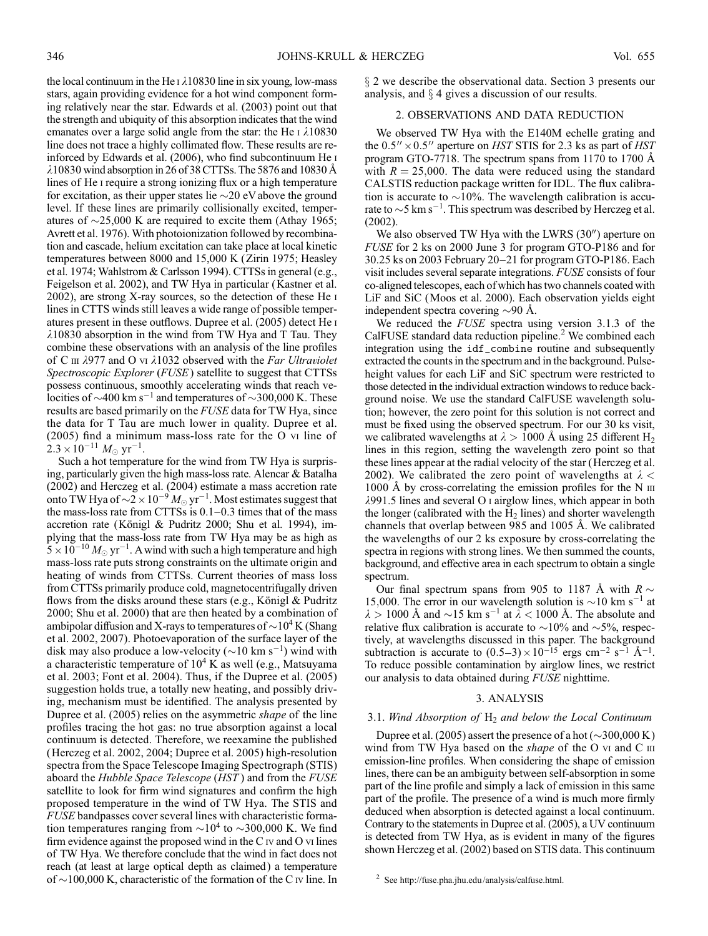the local continuum in the He  $\iota$   $\lambda$ 10830 line in six young, low-mass stars, again providing evidence for a hot wind component forming relatively near the star. Edwards et al. (2003) point out that the strength and ubiquity of this absorption indicates that the wind emanates over a large solid angle from the star: the He  $\overline{1}$   $\lambda$ 10830 line does not trace a highly collimated flow. These results are reinforced by Edwards et al. (2006), who find subcontinuum He i  $\lambda$ 10830 wind absorption in 26 of 38 CTTSs. The 5876 and 10830 Å lines of He i require a strong ionizing flux or a high temperature for excitation, as their upper states lie  $\sim$ 20 eV above the ground level. If these lines are primarily collisionally excited, temperatures of  $\sim$ 25,000 K are required to excite them (Athay 1965; Avrett et al. 1976). With photoionization followed by recombination and cascade, helium excitation can take place at local kinetic temperatures between 8000 and 15,000 K (Zirin 1975; Heasley et al. 1974; Wahlstrom & Carlsson 1994). CTTSs in general (e.g., Feigelson et al. 2002), and TW Hya in particular (Kastner et al. 2002), are strong X-ray sources, so the detection of these He i lines in CTTS winds still leaves a wide range of possible temperatures present in these outflows. Dupree et al. (2005) detect He i  $\lambda$ 10830 absorption in the wind from TW Hya and T Tau. They combine these observations with an analysis of the line profiles of C  $\scriptstyle\rm III$   $\lambda$ 977 and O vi  $\lambda$ 1032 observed with the Far Ultraviolet Spectroscopic Explorer (FUSE) satellite to suggest that CTTSs possess continuous, smoothly accelerating winds that reach velocities of  $\sim$ 400 km s<sup>-1</sup> and temperatures of  $\sim$ 300,000 K. These results are based primarily on the FUSE data for TW Hya, since the data for T Tau are much lower in quality. Dupree et al. (2005) find a minimum mass-loss rate for the O vi line of  $2.3 \times 10^{-11} M_{\odot} \text{ yr}^{-1}$ .

Such a hot temperature for the wind from TW Hya is surprising, particularly given the high mass-loss rate. Alencar & Batalha (2002) and Herczeg et al. (2004) estimate a mass accretion rate onto TW Hya of  $\sim \! 2 \times 10^{-9} M_{\odot} \, \text{yr}^{-1}$ . Most estimates suggest that the mass-loss rate from CTTSs is 0.1–0.3 times that of the mass accretion rate (Königl & Pudritz 2000; Shu et al. 1994), implying that the mass-loss rate from TW Hya may be as high as  $5 \times 10^{-10} M_{\odot} \text{ yr}^{-1}$ . A wind with such a high temperature and high mass-loss rate puts strong constraints on the ultimate origin and heating of winds from CTTSs. Current theories of mass loss from CTTSs primarily produce cold, magnetocentrifugally driven flows from the disks around these stars (e.g., Königl  $&$  Pudritz 2000; Shu et al. 2000) that are then heated by a combination of ambipolar diffusion and X-rays to temperatures of  $\sim$  10<sup>4</sup> K (Shang et al. 2002, 2007). Photoevaporation of the surface layer of the disk may also produce a low-velocity ( $\sim$ 10 km s<sup>-1</sup>) wind with a characteristic temperature of  $10^4$  K as well (e.g., Matsuyama et al. 2003; Font et al. 2004). Thus, if the Dupree et al. (2005) suggestion holds true, a totally new heating, and possibly driving, mechanism must be identified. The analysis presented by Dupree et al. (2005) relies on the asymmetric *shape* of the line profiles tracing the hot gas: no true absorption against a local continuum is detected. Therefore, we reexamine the published (Herczeg et al. 2002, 2004; Dupree et al. 2005) high-resolution spectra from the Space Telescope Imaging Spectrograph (STIS) aboard the Hubble Space Telescope (HST) and from the FUSE satellite to look for firm wind signatures and confirm the high proposed temperature in the wind of TW Hya. The STIS and FUSE bandpasses cover several lines with characteristic formation temperatures ranging from  $\sim 10^4$  to  $\sim 300,000$  K. We find firm evidence against the proposed wind in the  $C$  iv and  $O$  vi lines of TW Hya. We therefore conclude that the wind in fact does not reach (at least at large optical depth as claimed ) a temperature of  $\sim$ 100,000 K, characteristic of the formation of the C iv line. In

x 2 we describe the observational data. Section 3 presents our analysis, and  $\S$  4 gives a discussion of our results.

## 2. OBSERVATIONS AND DATA REDUCTION

We observed TW Hya with the E140M echelle grating and the  $0.5'' \times 0.5''$  aperture on HST STIS for 2.3 ks as part of HST program GTO-7718. The spectrum spans from 1170 to 1700  $\AA$ with  $R = 25,000$ . The data were reduced using the standard CALSTIS reduction package written for IDL. The flux calibration is accurate to  $\sim$ 10%. The wavelength calibration is accurate to  $\sim$ 5 km s<sup>-1</sup>. This spectrum was described by Herczeg et al. (2002).

We also observed TW Hya with the LWRS  $(30'')$  aperture on FUSE for 2 ks on 2000 June 3 for program GTO-P186 and for 30.25 ks on 2003 February 20–21 for program GTO-P186. Each visit includes several separate integrations. FUSE consists of four co-aligned telescopes, each of which has two channels coated with LiF and SiC (Moos et al. 2000). Each observation yields eight independent spectra covering  $\sim$ 90 Å.

We reduced the FUSE spectra using version 3.1.3 of the CalFUSE standard data reduction pipeline.<sup>2</sup> We combined each integration using the idf\_combine routine and subsequently extracted the counts in the spectrum and in the background. Pulseheight values for each LiF and SiC spectrum were restricted to those detected in the individual extraction windows to reduce background noise. We use the standard CalFUSE wavelength solution; however, the zero point for this solution is not correct and must be fixed using the observed spectrum. For our 30 ks visit, we calibrated wavelengths at  $\lambda > 1000$  Å using 25 different H<sub>2</sub> lines in this region, setting the wavelength zero point so that these lines appear at the radial velocity of the star (Herczeg et al. 2002). We calibrated the zero point of wavelengths at  $\lambda$  <  $1000 \text{ Å}$  by cross-correlating the emission profiles for the N  $\text{III}$  $\lambda$ 991.5 lines and several O i airglow lines, which appear in both the longer (calibrated with the  $H_2$  lines) and shorter wavelength channels that overlap between 985 and 1005 Å. We calibrated the wavelengths of our 2 ks exposure by cross-correlating the spectra in regions with strong lines. We then summed the counts, background, and effective area in each spectrum to obtain a single spectrum.

Our final spectrum spans from 905 to 1187 Å with  $R \sim$ 15,000. The error in our wavelength solution is  $\sim$  10 km s<sup>-1</sup> at  $\lambda > 1000$  Å and  $\sim$ 15 km s<sup>-1</sup> at  $\lambda < 1000$  Å. The absolute and relative flux calibration is accurate to  $\sim$ 10% and  $\sim$ 5%, respectively, at wavelengths discussed in this paper. The background subtraction is accurate to  $(0.5-3) \times 10^{-15}$  ergs cm<sup>-2</sup> s<sup>-1</sup> Å<sup>-1</sup>. To reduce possible contamination by airglow lines, we restrict our analysis to data obtained during FUSE nighttime.

#### 3. ANALYSIS

### 3.1. Wind Absorption of  $H_2$  and below the Local Continuum

Dupree et al. (2005) assert the presence of a hot ( $\sim$ 300,000 K) wind from TW Hya based on the *shape* of the O vi and C  $\text{III}$ emission-line profiles. When considering the shape of emission lines, there can be an ambiguity between self-absorption in some part of the line profile and simply a lack of emission in this same part of the profile. The presence of a wind is much more firmly deduced when absorption is detected against a local continuum. Contrary to the statements in Dupree et al. (2005), a UV continuum is detected from TW Hya, as is evident in many of the figures shown Herczeg et al. (2002) based on STIS data. This continuum

<sup>2</sup> See http://fuse.pha.jhu.edu/analysis/calfuse.html.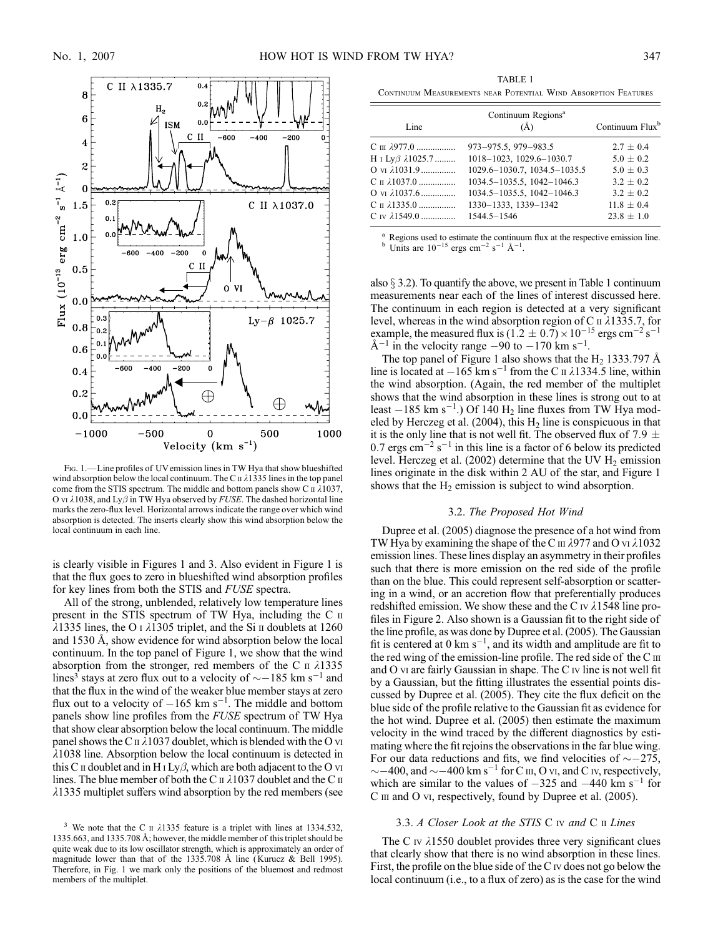

FIG. 1.—Line profiles of UVemission lines in TW Hya that show blueshifted wind absorption below the local continuum. The C  $\pi$   $\lambda$ 1335 lines in the top panel come from the STIS spectrum. The middle and bottom panels show C  $\pi \lambda 1037$ , O vi  $\lambda$ 1038, and Ly $\beta$  in TW Hya observed by FUSE. The dashed horizontal line marks the zero-flux level. Horizontal arrows indicate the range over which wind absorption is detected. The inserts clearly show this wind absorption below the local continuum in each line.

is clearly visible in Figures 1 and 3. Also evident in Figure 1 is that the flux goes to zero in blueshifted wind absorption profiles for key lines from both the STIS and FUSE spectra.

All of the strong, unblended, relatively low temperature lines present in the STIS spectrum of TW Hya, including the C ii  $\lambda$ 1335 lines, the O I  $\lambda$ 1305 triplet, and the Si II doublets at 1260 and 1530 Å, show evidence for wind absorption below the local continuum. In the top panel of Figure 1, we show that the wind absorption from the stronger, red members of the C  $\text{II}$   $\lambda$ 1335 lines<sup>3</sup> stays at zero flux out to a velocity of  $\sim$  – 185 km s<sup>-1</sup> and that the flux in the wind of the weaker blue member stays at zero flux out to a velocity of  $-165 \text{ km s}^{-1}$ . The middle and bottom panels show line profiles from the FUSE spectrum of TW Hya that show clear absorption below the local continuum. The middle panel shows the C  $\pi$   $\lambda$ 1037 doublet, which is blended with the O vi  $\lambda$ 1038 line. Absorption below the local continuum is detected in this C  $\pi$  doublet and in H  $\text{I Ly}\beta$ , which are both adjacent to the O vi lines. The blue member of both the C  $\text{II}$   $\lambda$ 1037 doublet and the C  $\text{II}$  $\lambda$ 1335 multiplet suffers wind absorption by the red members (see

TABLE 1 Continuum Measurements near Potential Wind Absorption Features

| Line                                | Continuum Regions <sup>a</sup><br>(A) | Continuum Flux <sup>b</sup> |
|-------------------------------------|---------------------------------------|-----------------------------|
| C π λ977.0                          | 973-975.5, 979-983.5                  | $2.7 \pm 0.4$               |
| H 1 Lyβ $\lambda$ 1025.7            | 1018-1023, 1029.6-1030.7              | $5.0 \pm 0.2$               |
| $O$ v <sub>I</sub> $\lambda$ 1031.9 | 1029.6-1030.7, 1034.5-1035.5          | $5.0 + 0.3$                 |
| Сп 21037.0                          | 1034.5-1035.5, 1042-1046.3            | $3.2 \pm 0.2$               |
| $O_{VI}$ $\lambda$ 1037.6           | 1034.5-1035.5, 1042-1046.3            | $3.2 + 0.2$                 |
| Сп 21335.0                          | 1330-1333, 1339-1342                  | $11.8 \pm 0.4$              |
| C IV $\lambda$ 1549.0               | 1544.5-1546                           | $23.8 \pm 1.0$              |
|                                     |                                       |                             |

Regions used to estimate the continuum flux at the respective emission line. <sup>15</sup> ergs cm<sup>-2</sup> s<sup>-1</sup> Å<sup>-1</sup>.

also  $\S$  3.2). To quantify the above, we present in Table 1 continuum measurements near each of the lines of interest discussed here. The continuum in each region is detected at a very significant level, whereas in the wind absorption region of C  $\pi$   $\lambda$ 1335.7, for example, the measured flux is  $(1.2 \pm 0.7) \times 10^{-15}$  ergs cm<sup>-2</sup> s<sup>-1</sup>  $\rm \AA^{-1}$  in the velocity range  $-90$  to  $-170$  km s<sup>-1</sup>.

The top panel of Figure 1 also shows that the H<sub>2</sub> 1333.797 Å line is located at  $-165$  km s<sup>-1</sup> from the C  $\pi$   $\lambda$ 1334.5 line, within the wind absorption. (Again, the red member of the multiplet shows that the wind absorption in these lines is strong out to at least  $-185$  km s<sup>-1</sup>.) Of 140 H<sub>2</sub> line fluxes from TW Hya modeled by Herczeg et al. (2004), this  $H_2$  line is conspicuous in that it is the only line that is not well fit. The observed flux of 7.9  $\pm$ 0.7 ergs  $\text{cm}^{-2} \text{ s}^{-1}$  in this line is a factor of 6 below its predicted level. Herczeg et al. (2002) determine that the UV  $H_2$  emission lines originate in the disk within 2 AU of the star, and Figure 1 shows that the  $H_2$  emission is subject to wind absorption.

### 3.2. The Proposed Hot Wind

Dupree et al. (2005) diagnose the presence of a hot wind from TW Hya by examining the shape of the C  $\text{III}$   $\lambda$ 977 and O vi  $\lambda$ 1032 emission lines. These lines display an asymmetry in their profiles such that there is more emission on the red side of the profile than on the blue. This could represent self-absorption or scattering in a wind, or an accretion flow that preferentially produces redshifted emission. We show these and the C  $\rm{IV}$   $\lambda$ 1548 line profiles in Figure 2. Also shown is a Gaussian fit to the right side of the line profile, as was done by Dupree et al. (2005). The Gaussian fit is centered at  $0 \text{ km s}^{-1}$ , and its width and amplitude are fit to the red wing of the emission-line profile. The red side of the C III and  $O$  vi are fairly Gaussian in shape. The  $C$  iv line is not well fit by a Gaussian, but the fitting illustrates the essential points discussed by Dupree et al. (2005). They cite the flux deficit on the blue side of the profile relative to the Gaussian fit as evidence for the hot wind. Dupree et al. (2005) then estimate the maximum velocity in the wind traced by the different diagnostics by estimating where the fit rejoins the observations in the far blue wing. For our data reductions and fits, we find velocities of  $\sim$  -275,  $\sim$  –400, and  $\sim$  –400 km s<sup>-1</sup> for C  $\text{III}$ , O vi, and C iv, respectively, which are similar to the values of  $-325$  and  $-440$  km s<sup>-1</sup> for C  $\text{III}$  and O vi, respectively, found by Dupree et al. (2005).

#### 3.3. A Closer Look at the STIS C iv and C  $\scriptstyle\rm II$  Lines

The C  $\upsilon$   $\lambda$ 1550 doublet provides three very significant clues that clearly show that there is no wind absorption in these lines. First, the profile on the blue side of the  $C<sub>IV</sub>$  does not go below the local continuum (i.e., to a flux of zero) as is the case for the wind

<sup>&</sup>lt;sup>3</sup> We note that the C  $\pi$   $\lambda$ 1335 feature is a triplet with lines at 1334.532, 1335.663, and 1335.708 8; however, the middle member of this triplet should be quite weak due to its low oscillator strength, which is approximately an order of magnitude lower than that of the 1335.708 Å line (Kurucz & Bell 1995). Therefore, in Fig. 1 we mark only the positions of the bluemost and redmost members of the multiplet.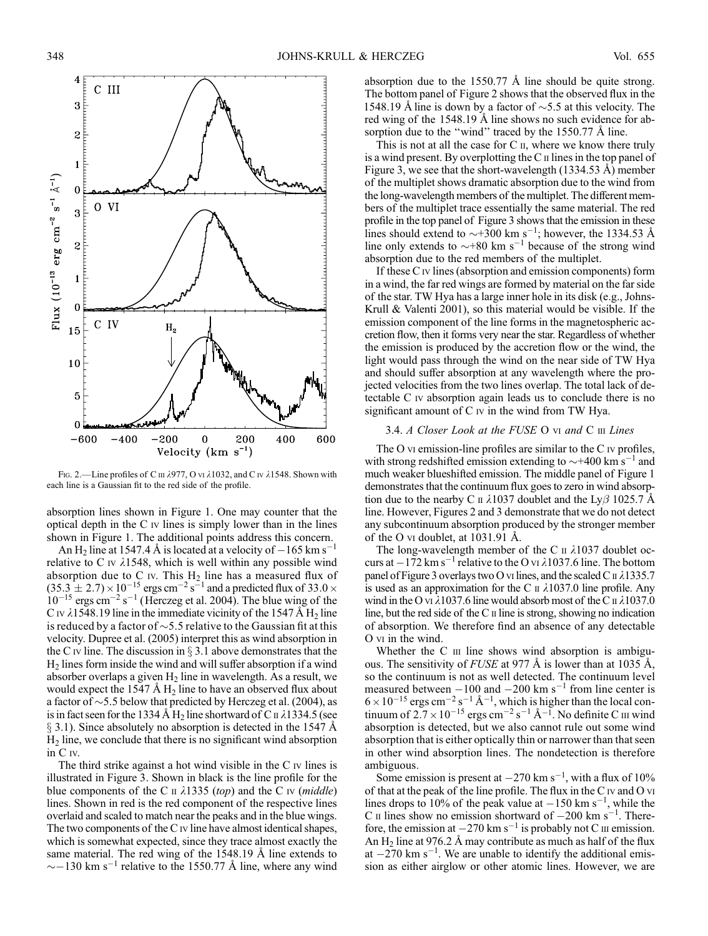

FIG. 2.—Line profiles of C III  $\lambda$ 977, O vi  $\lambda$ 1032, and C iv  $\lambda$ 1548. Shown with each line is a Gaussian fit to the red side of the profile.

absorption lines shown in Figure 1. One may counter that the optical depth in the  $C$  iv lines is simply lower than in the lines shown in Figure 1. The additional points address this concern.

An H<sub>2</sub> line at 1547.4 Å is located at a velocity of  $-165$  km s<sup>-1</sup> relative to C iv  $\lambda$ 1548, which is well within any possible wind absorption due to C iv. This  $H_2$  line has a measured flux of  $(35.3 \pm 2.7) \times 10^{-15}$  ergs cm<sup>-2</sup> s<sup>-1</sup> and a predicted flux of 33.0  $\times$  $10^{-15}$  ergs cm<sup>-2</sup> s<sup>-1</sup> (Herczeg et al. 2004). The blue wing of the C iv  $\lambda$ 1548.19 line in the immediate vicinity of the 1547 Å H<sub>2</sub> line is reduced by a factor of  $\sim$ 5.5 relative to the Gaussian fit at this velocity. Dupree et al. (2005) interpret this as wind absorption in the C iv line. The discussion in  $\S 3.1$  above demonstrates that the  $H<sub>2</sub>$  lines form inside the wind and will suffer absorption if a wind absorber overlaps a given  $H_2$  line in wavelength. As a result, we would expect the 1547  $\AA$  H<sub>2</sub> line to have an observed flux about a factor of  $\sim$ 5.5 below that predicted by Herczeg et al. (2004), as is in fact seen for the 1334 Å H<sub>2</sub> line shortward of C<sub>II</sub>  $\lambda$ 1334.5 (see  $\S$  3.1). Since absolutely no absorption is detected in the 1547 Å H2 line, we conclude that there is no significant wind absorption in C iv.

The third strike against a hot wind visible in the C iv lines is illustrated in Figure 3. Shown in black is the line profile for the blue components of the C  $\pi$   $\lambda$ 1335 (top) and the C iv (*middle*) lines. Shown in red is the red component of the respective lines overlaid and scaled to match near the peaks and in the blue wings. The two components of the C iv line have almost identical shapes, which is somewhat expected, since they trace almost exactly the same material. The red wing of the  $1548.19$  Å line extends to  $\sim$  -130 km s<sup>-1</sup> relative to the 1550.77 Å line, where any wind

absorption due to the  $1550.77 \text{ Å}$  line should be quite strong. The bottom panel of Figure 2 shows that the observed flux in the 1548.19 Å line is down by a factor of  $\sim$ 5.5 at this velocity. The red wing of the 1548.19 Å line shows no such evidence for absorption due to the "wind" traced by the  $1550.77 \text{ Å}$  line.

This is not at all the case for  $C$   $\mathfrak{u}$ , where we know there truly is a wind present. By overplotting the  $C \Pi$  lines in the top panel of Figure 3, we see that the short-wavelength  $(1334.53 \text{ Å})$  member of the multiplet shows dramatic absorption due to the wind from the long-wavelength members of the multiplet. The different members of the multiplet trace essentially the same material. The red profile in the top panel of Figure 3 shows that the emission in these lines should extend to  $\sim$ +300 km s<sup>-1</sup>; however, the 1334.53 Å line only extends to  $\sim$ +80 km s<sup>-1</sup> because of the strong wind absorption due to the red members of the multiplet.

If these C iv lines (absorption and emission components) form in a wind, the far red wings are formed by material on the far side of the star. TW Hya has a large inner hole in its disk (e.g., Johns-Krull & Valenti 2001), so this material would be visible. If the emission component of the line forms in the magnetospheric accretion flow, then it forms very near the star. Regardless of whether the emission is produced by the accretion flow or the wind, the light would pass through the wind on the near side of TW Hya and should suffer absorption at any wavelength where the projected velocities from the two lines overlap. The total lack of detectable C iv absorption again leads us to conclude there is no significant amount of C iv in the wind from TW Hya.

## 3.4. A Closer Look at the FUSE O vi and C iii Lines

The O vi emission-line profiles are similar to the C iv profiles, with strong redshifted emission extending to  $\sim$ +400 km s<sup>-1</sup> and much weaker blueshifted emission. The middle panel of Figure 1 demonstrates that the continuum flux goes to zero in wind absorption due to the nearby C  $\parallel$   $\lambda$ 1037 doublet and the Ly $\beta$  1025.7 Å line. However, Figures 2 and 3 demonstrate that we do not detect any subcontinuum absorption produced by the stronger member of the O vi doublet, at  $1031.91 \text{ Å}.$ 

The long-wavelength member of the C  $\text{II}$   $\lambda$ 1037 doublet occurs at  $-172$  km s<sup>-1</sup> relative to the O vi  $\lambda$ 1037.6 line. The bottom panel of Figure 3 overlays two O vi lines, and the scaled C  $\pi$   $\lambda$ 1335.7 is used as an approximation for the C  $\pi$   $\lambda$ 1037.0 line profile. Any wind in the O vi  $\lambda$ 1037.6 line would absorb most of the C  $\mu$   $\lambda$ 1037.0 line, but the red side of the C  $\scriptstyle\rm II$  line is strong, showing no indication of absorption. We therefore find an absence of any detectable O vi in the wind.

Whether the  $C$  iii line shows wind absorption is ambiguous. The sensitivity of FUSE at 977  $\AA$  is lower than at 1035  $\AA$ , so the continuum is not as well detected. The continuum level measured between  $-100$  and  $-200$  km s<sup>-1</sup> from line center is  $6 \times 10^{-15}$  ergs cm<sup>-2</sup> s<sup>-1</sup> Å<sup>-1</sup>, which is higher than the local continuum of  $2.7 \times 10^{-15}$  ergs cm<sup>-2</sup> s<sup>-1</sup> Å<sup>-1</sup>. No definite C  $\scriptstyle\rm III$  wind absorption is detected, but we also cannot rule out some wind absorption that is either optically thin or narrower than that seen in other wind absorption lines. The nondetection is therefore ambiguous.

Some emission is present at  $-270 \text{ km s}^{-1}$ , with a flux of 10% of that at the peak of the line profile. The flux in the C iv and O vi lines drops to 10% of the peak value at  $-150$  km s<sup>-1</sup>, while the C  $\mu$  lines show no emission shortward of  $-200 \text{ km s}^{-1}$ . Therefore, the emission at  $-270 \text{ km s}^{-1}$  is probably not C  $\text{II}$  emission. An  $H_2$  line at 976.2 Å may contribute as much as half of the flux at  $-270$  km s<sup>-1</sup>. We are unable to identify the additional emission as either airglow or other atomic lines. However, we are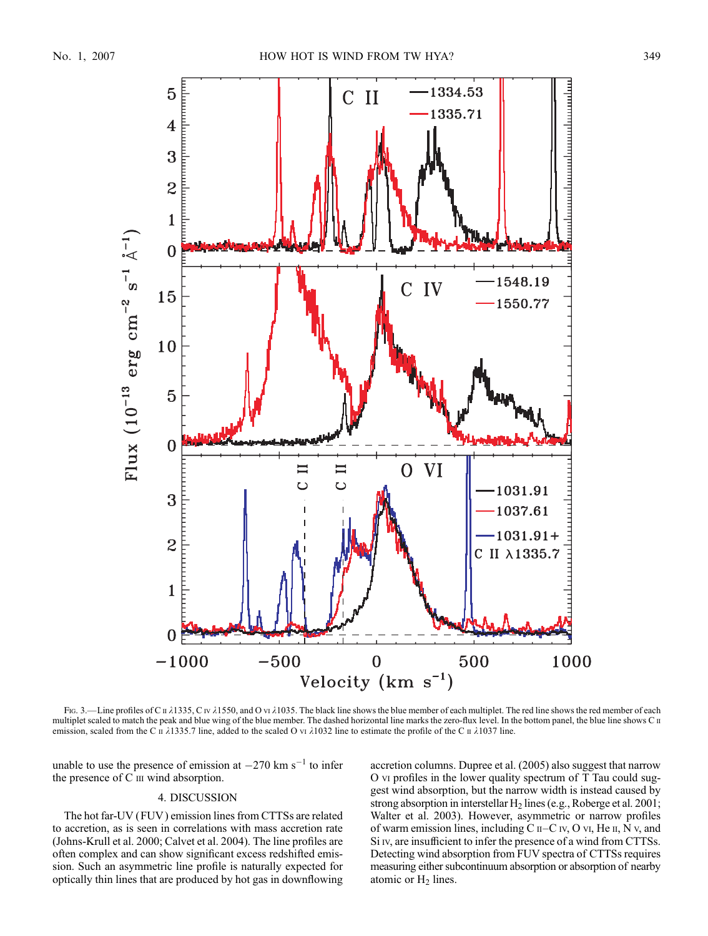

Fig. 3.—Line profiles of C  $\pi$   $\lambda$ 1335, C iv  $\lambda$ 1550, and O vi  $\lambda$ 1035. The black line shows the blue member of each multiplet. The red line shows the red member of each multiplet scaled to match the peak and blue wing of the blue member. The dashed horizontal line marks the zero-flux level. In the bottom panel, the blue line shows C II emission, scaled from the C  $\pi$   $\lambda$ 1335.7 line, added to the scaled O vi  $\lambda$ 1032 line to estimate the profile of the C  $\pi$   $\lambda$ 1037 line.

unable to use the presence of emission at  $-270 \text{ km s}^{-1}$  to infer the presence of  $C$  iii wind absorption.

## 4. DISCUSSION

The hot far-UV (FUV ) emission lines from CTTSs are related to accretion, as is seen in correlations with mass accretion rate (Johns-Krull et al. 2000; Calvet et al. 2004). The line profiles are often complex and can show significant excess redshifted emission. Such an asymmetric line profile is naturally expected for optically thin lines that are produced by hot gas in downflowing

accretion columns. Dupree et al. (2005) also suggest that narrow O vi profiles in the lower quality spectrum of T Tau could suggest wind absorption, but the narrow width is instead caused by strong absorption in interstellar  $H_2$  lines (e.g., Roberge et al. 2001; Walter et al. 2003). However, asymmetric or narrow profiles of warm emission lines, including  $C$   $I - C$   $I$ v,  $O$  vi,  $He$   $I$ ,  $N$  v, and Si iv, are insufficient to infer the presence of a wind from CTTSs. Detecting wind absorption from FUV spectra of CTTSs requires measuring either subcontinuum absorption or absorption of nearby atomic or  $H_2$  lines.